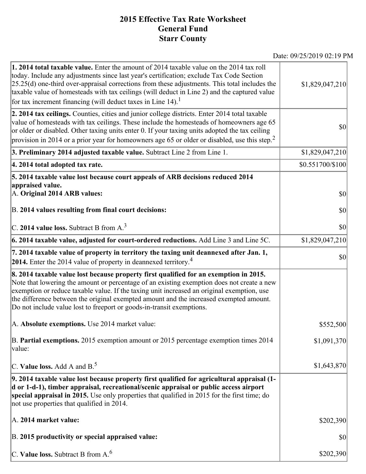## **2015 Effective Tax Rate Worksheet General Fund Starr County**

Date: 09/25/2019 02:19 PM

| <b>1. 2014 total taxable value.</b> Enter the amount of 2014 taxable value on the 2014 tax roll<br>today. Include any adjustments since last year's certification; exclude Tax Code Section<br>$[25.25(d)$ one-third over-appraisal corrections from these adjustments. This total includes the<br>taxable value of homesteads with tax ceilings (will deduct in Line 2) and the captured value<br>for tax increment financing (will deduct taxes in Line $14$ ). <sup>1</sup> | \$1,829,047,210  |
|--------------------------------------------------------------------------------------------------------------------------------------------------------------------------------------------------------------------------------------------------------------------------------------------------------------------------------------------------------------------------------------------------------------------------------------------------------------------------------|------------------|
| 2. 2014 tax ceilings. Counties, cities and junior college districts. Enter 2014 total taxable<br>value of homesteads with tax ceilings. These include the homesteads of homeowners age 65<br>or older or disabled. Other taxing units enter 0. If your taxing units adopted the tax ceiling<br>provision in 2014 or a prior year for homeowners age 65 or older or disabled, use this step. <sup>2</sup>                                                                       | $ 10\rangle$     |
| 3. Preliminary 2014 adjusted taxable value. Subtract Line 2 from Line 1.                                                                                                                                                                                                                                                                                                                                                                                                       | \$1,829,047,210  |
| 4. 2014 total adopted tax rate.                                                                                                                                                                                                                                                                                                                                                                                                                                                | \$0.551700/\$100 |
| 5. 2014 taxable value lost because court appeals of ARB decisions reduced 2014<br>appraised value.                                                                                                                                                                                                                                                                                                                                                                             |                  |
| A. Original 2014 ARB values:                                                                                                                                                                                                                                                                                                                                                                                                                                                   | $ 10\rangle$     |
| B. 2014 values resulting from final court decisions:                                                                                                                                                                                                                                                                                                                                                                                                                           | \$0              |
| C. 2014 value loss. Subtract B from $A3$                                                                                                                                                                                                                                                                                                                                                                                                                                       | $ 10\rangle$     |
| 6. 2014 taxable value, adjusted for court-ordered reductions. Add Line 3 and Line 5C.                                                                                                                                                                                                                                                                                                                                                                                          | \$1,829,047,210  |
| 7. 2014 taxable value of property in territory the taxing unit deannexed after Jan. 1,<br>2014. Enter the 2014 value of property in deannexed territory. <sup>4</sup>                                                                                                                                                                                                                                                                                                          | $ 10\rangle$     |
| 8. 2014 taxable value lost because property first qualified for an exemption in 2015.<br>Note that lowering the amount or percentage of an existing exemption does not create a new<br>exemption or reduce taxable value. If the taxing unit increased an original exemption, use<br>the difference between the original exempted amount and the increased exempted amount.<br>Do not include value lost to freeport or goods-in-transit exemptions.                           |                  |
| A. Absolute exemptions. Use 2014 market value:                                                                                                                                                                                                                                                                                                                                                                                                                                 | \$552,500        |
| B. Partial exemptions. 2015 exemption amount or 2015 percentage exemption times 2014<br>value:                                                                                                                                                                                                                                                                                                                                                                                 | \$1,091,370      |
| C. Value loss. Add A and $B^5$ .                                                                                                                                                                                                                                                                                                                                                                                                                                               | \$1,643,870      |
| 9. 2014 taxable value lost because property first qualified for agricultural appraisal (1-<br>d or 1-d-1), timber appraisal, recreational/scenic appraisal or public access airport<br>special appraisal in 2015. Use only properties that qualified in 2015 for the first time; do<br>not use properties that qualified in 2014.                                                                                                                                              |                  |
| A. 2014 market value:                                                                                                                                                                                                                                                                                                                                                                                                                                                          | \$202,390        |
| B. 2015 productivity or special appraised value:                                                                                                                                                                                                                                                                                                                                                                                                                               | \$0              |
| C. Value loss. Subtract B from $A6$                                                                                                                                                                                                                                                                                                                                                                                                                                            | \$202,390        |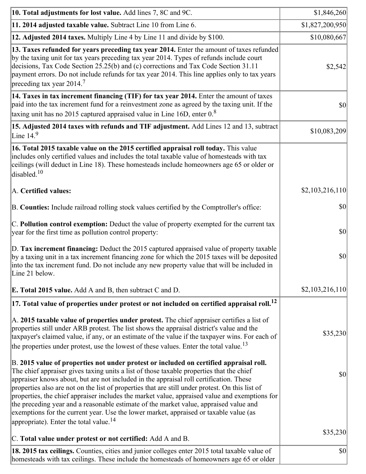| 10. Total adjustments for lost value. Add lines 7, 8C and 9C.                                                                                                                                                                                                                                                                                                                                                                                                                                                                                                                                                                                                                                                            | \$1,846,260     |
|--------------------------------------------------------------------------------------------------------------------------------------------------------------------------------------------------------------------------------------------------------------------------------------------------------------------------------------------------------------------------------------------------------------------------------------------------------------------------------------------------------------------------------------------------------------------------------------------------------------------------------------------------------------------------------------------------------------------------|-----------------|
| 11. 2014 adjusted taxable value. Subtract Line 10 from Line 6.                                                                                                                                                                                                                                                                                                                                                                                                                                                                                                                                                                                                                                                           | \$1,827,200,950 |
| 12. Adjusted 2014 taxes. Multiply Line 4 by Line 11 and divide by \$100.                                                                                                                                                                                                                                                                                                                                                                                                                                                                                                                                                                                                                                                 | \$10,080,667    |
| 13. Taxes refunded for years preceding tax year 2014. Enter the amount of taxes refunded<br>by the taxing unit for tax years preceding tax year 2014. Types of refunds include court<br>decisions, Tax Code Section 25.25(b) and (c) corrections and Tax Code Section 31.11<br>payment errors. Do not include refunds for tax year 2014. This line applies only to tax years<br>preceding tax year $2014.7$                                                                                                                                                                                                                                                                                                              | \$2,542         |
| 14. Taxes in tax increment financing (TIF) for tax year 2014. Enter the amount of taxes<br>paid into the tax increment fund for a reinvestment zone as agreed by the taxing unit. If the<br>taxing unit has no 2015 captured appraised value in Line 16D, enter $08$                                                                                                                                                                                                                                                                                                                                                                                                                                                     | $ 10\rangle$    |
| 15. Adjusted 2014 taxes with refunds and TIF adjustment. Add Lines 12 and 13, subtract<br>Line $149$                                                                                                                                                                                                                                                                                                                                                                                                                                                                                                                                                                                                                     | \$10,083,209    |
| 16. Total 2015 taxable value on the 2015 certified appraisal roll today. This value<br>includes only certified values and includes the total taxable value of homesteads with tax<br>ceilings (will deduct in Line 18). These homesteads include homeowners age 65 or older or<br>disabled. <sup>10</sup>                                                                                                                                                                                                                                                                                                                                                                                                                |                 |
| A. Certified values:                                                                                                                                                                                                                                                                                                                                                                                                                                                                                                                                                                                                                                                                                                     | \$2,103,216,110 |
| B. Counties: Include railroad rolling stock values certified by the Comptroller's office:                                                                                                                                                                                                                                                                                                                                                                                                                                                                                                                                                                                                                                | $ 10\rangle$    |
| C. Pollution control exemption: Deduct the value of property exempted for the current tax<br>year for the first time as pollution control property:                                                                                                                                                                                                                                                                                                                                                                                                                                                                                                                                                                      | $ 10\rangle$    |
| D. Tax increment financing: Deduct the 2015 captured appraised value of property taxable<br>by a taxing unit in a tax increment financing zone for which the 2015 taxes will be deposited<br>into the tax increment fund. Do not include any new property value that will be included in<br>Line 21 below.                                                                                                                                                                                                                                                                                                                                                                                                               | $ 10\rangle$    |
| <b>E. Total 2015 value.</b> Add A and B, then subtract C and D.                                                                                                                                                                                                                                                                                                                                                                                                                                                                                                                                                                                                                                                          | \$2,103,216,110 |
| $ 17.$ Total value of properties under protest or not included on certified appraisal roll. $^{12}$                                                                                                                                                                                                                                                                                                                                                                                                                                                                                                                                                                                                                      |                 |
| A. 2015 taxable value of properties under protest. The chief appraiser certifies a list of<br>properties still under ARB protest. The list shows the appraisal district's value and the<br>taxpayer's claimed value, if any, or an estimate of the value if the taxpayer wins. For each of<br>the properties under protest, use the lowest of these values. Enter the total value. <sup>13</sup>                                                                                                                                                                                                                                                                                                                         | \$35,230        |
| B. 2015 value of properties not under protest or included on certified appraisal roll.<br>The chief appraiser gives taxing units a list of those taxable properties that the chief<br>appraiser knows about, but are not included in the appraisal roll certification. These<br>properties also are not on the list of properties that are still under protest. On this list of<br>properties, the chief appraiser includes the market value, appraised value and exemptions for<br>the preceding year and a reasonable estimate of the market value, appraised value and<br>exemptions for the current year. Use the lower market, appraised or taxable value (as<br>appropriate). Enter the total value. <sup>14</sup> | \$0             |
| C. Total value under protest or not certified: Add A and B.                                                                                                                                                                                                                                                                                                                                                                                                                                                                                                                                                                                                                                                              | \$35,230        |
| 18. 2015 tax ceilings. Counties, cities and junior colleges enter 2015 total taxable value of<br>homesteads with tax ceilings. These include the homesteads of homeowners age 65 or older                                                                                                                                                                                                                                                                                                                                                                                                                                                                                                                                | \$0             |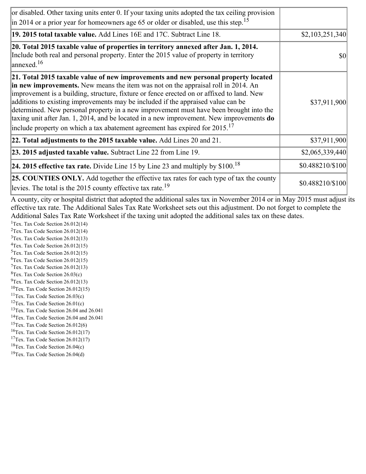| or disabled. Other taxing units enter 0. If your taxing units adopted the tax ceiling provision<br>$\left  \text{in } 2014 \text{ or a prior year for home owners age } 65 \text{ or older or disabled, use this step.} \right ^{15}$                                                                                                                                                                                                                                                                                                                                                                                                        |                  |
|----------------------------------------------------------------------------------------------------------------------------------------------------------------------------------------------------------------------------------------------------------------------------------------------------------------------------------------------------------------------------------------------------------------------------------------------------------------------------------------------------------------------------------------------------------------------------------------------------------------------------------------------|------------------|
| 19. 2015 total taxable value. Add Lines 16E and 17C. Subtract Line 18.                                                                                                                                                                                                                                                                                                                                                                                                                                                                                                                                                                       | \$2,103,251,340  |
| 20. Total 2015 taxable value of properties in territory annexed after Jan. 1, 2014.<br>Include both real and personal property. Enter the 2015 value of property in territory<br>$\vert$ annexed. <sup>16</sup>                                                                                                                                                                                                                                                                                                                                                                                                                              | \$0              |
| 21. Total 2015 taxable value of new improvements and new personal property located<br>in new improvements. New means the item was not on the appraisal roll in 2014. An<br>improvement is a building, structure, fixture or fence erected on or affixed to land. New<br>additions to existing improvements may be included if the appraised value can be<br>determined. New personal property in a new improvement must have been brought into the<br>taxing unit after Jan. 1, 2014, and be located in a new improvement. New improvements do<br>include property on which a tax abatement agreement has expired for $2015$ . <sup>17</sup> | \$37,911,900     |
| 22. Total adjustments to the 2015 taxable value. Add Lines 20 and 21.                                                                                                                                                                                                                                                                                                                                                                                                                                                                                                                                                                        | \$37,911,900     |
| 23. 2015 adjusted taxable value. Subtract Line 22 from Line 19.                                                                                                                                                                                                                                                                                                                                                                                                                                                                                                                                                                              | \$2,065,339,440  |
| <b>24. 2015 effective tax rate.</b> Divide Line 15 by Line 23 and multiply by $$100$ . <sup>18</sup>                                                                                                                                                                                                                                                                                                                                                                                                                                                                                                                                         | \$0.488210/\$100 |
| <b>25. COUNTIES ONLY.</b> Add together the effective tax rates for each type of tax the county<br>levies. The total is the 2015 county effective tax rate. <sup>19</sup>                                                                                                                                                                                                                                                                                                                                                                                                                                                                     | \$0.488210/\$100 |

A county, city or hospital district that adopted the additional sales tax in November 2014 or in May 2015 must adjust its effective tax rate. The Additional Sales Tax Rate Worksheet sets out this adjustment. Do not forget to complete the Additional Sales Tax Rate Worksheet if the taxing unit adopted the additional sales tax on these dates.

<sup>1</sup>Tex. Tax Code Section  $26.012(14)$ <sup>2</sup>Tex. Tax Code Section  $26.012(14)$  $3$ Tex. Tax Code Section 26.012(13)  ${}^{4}$ Tex. Tax Code Section 26.012(15)  $5$ Tex. Tax Code Section 26.012(15)  ${}^{6}$ Tex. Tax Code Section 26.012(15)  $7$ Tex. Tax Code Section 26.012(13)  ${}^{8}$ Tex. Tax Code Section 26.03(c)

- $^{9}$ Tex. Tax Code Section 26.012(13)  $10$ Tex. Tax Code Section 26.012(15)
- <sup>11</sup>Tex. Tax Code Section  $26.03(c)$
- <sup>12</sup>Tex. Tax Code Section  $26.01(c)$
- <sup>13</sup>Tex. Tax Code Section 26.04 and 26.041
- <sup>14</sup>Tex. Tax Code Section 26.04 and 26.041
- $15$ Tex. Tax Code Section 26.012(6)
- <sup>16</sup>Tex. Tax Code Section  $26.012(17)$
- <sup>17</sup>Tex. Tax Code Section  $26.012(17)$
- ${}^{18}$ Tex. Tax Code Section 26.04(c)
- <sup>19</sup>Tex. Tax Code Section 26.04(d)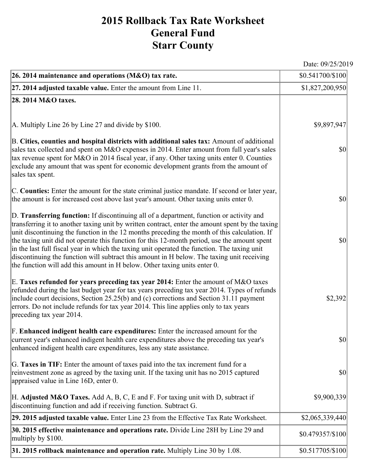## **2015 Rollback Tax Rate Worksheet General Fund Starr County**

Date: 09/25/2019

| 26. 2014 maintenance and operations (M&O) tax rate.                                                                                                                                                                                                                                                                                                                                                                                                                                                                                                                                                                                                                     | \$0.541700/\$100 |
|-------------------------------------------------------------------------------------------------------------------------------------------------------------------------------------------------------------------------------------------------------------------------------------------------------------------------------------------------------------------------------------------------------------------------------------------------------------------------------------------------------------------------------------------------------------------------------------------------------------------------------------------------------------------------|------------------|
| $ 27.2014$ adjusted taxable value. Enter the amount from Line 11.                                                                                                                                                                                                                                                                                                                                                                                                                                                                                                                                                                                                       | \$1,827,200,950  |
| 28. 2014 M&O taxes.                                                                                                                                                                                                                                                                                                                                                                                                                                                                                                                                                                                                                                                     |                  |
|                                                                                                                                                                                                                                                                                                                                                                                                                                                                                                                                                                                                                                                                         |                  |
| A. Multiply Line 26 by Line 27 and divide by \$100.                                                                                                                                                                                                                                                                                                                                                                                                                                                                                                                                                                                                                     | \$9,897,947      |
| B. Cities, counties and hospital districts with additional sales tax: Amount of additional<br>sales tax collected and spent on M&O expenses in 2014. Enter amount from full year's sales<br>tax revenue spent for M&O in 2014 fiscal year, if any. Other taxing units enter 0. Counties<br>exclude any amount that was spent for economic development grants from the amount of<br>sales tax spent.                                                                                                                                                                                                                                                                     | $ 10\rangle$     |
| C. Counties: Enter the amount for the state criminal justice mandate. If second or later year,<br>the amount is for increased cost above last year's amount. Other taxing units enter 0.                                                                                                                                                                                                                                                                                                                                                                                                                                                                                | $ 10\rangle$     |
| D. Transferring function: If discontinuing all of a department, function or activity and<br>transferring it to another taxing unit by written contract, enter the amount spent by the taxing<br>unit discontinuing the function in the 12 months preceding the month of this calculation. If<br>the taxing unit did not operate this function for this 12-month period, use the amount spent<br>in the last full fiscal year in which the taxing unit operated the function. The taxing unit<br>discontinuing the function will subtract this amount in H below. The taxing unit receiving<br>the function will add this amount in H below. Other taxing units enter 0. | $ 10\rangle$     |
| E. Taxes refunded for years preceding tax year 2014: Enter the amount of M&O taxes<br>refunded during the last budget year for tax years preceding tax year 2014. Types of refunds<br>include court decisions, Section 25.25(b) and (c) corrections and Section 31.11 payment<br>errors. Do not include refunds for tax year 2014. This line applies only to tax years<br>preceding tax year 2014.                                                                                                                                                                                                                                                                      | \$2,392          |
| F. Enhanced indigent health care expenditures: Enter the increased amount for the<br>current year's enhanced indigent health care expenditures above the preceding tax year's<br>enhanced indigent health care expenditures, less any state assistance.                                                                                                                                                                                                                                                                                                                                                                                                                 | <b>\$0</b>       |
| G. Taxes in TIF: Enter the amount of taxes paid into the tax increment fund for a<br>reinvestment zone as agreed by the taxing unit. If the taxing unit has no 2015 captured<br>appraised value in Line 16D, enter 0.                                                                                                                                                                                                                                                                                                                                                                                                                                                   | $ 10\rangle$     |
| H. Adjusted M&O Taxes. Add A, B, C, E and F. For taxing unit with D, subtract if<br>discontinuing function and add if receiving function. Subtract G.                                                                                                                                                                                                                                                                                                                                                                                                                                                                                                                   | \$9,900,339      |
| 29. 2015 adjusted taxable value. Enter Line 23 from the Effective Tax Rate Worksheet.                                                                                                                                                                                                                                                                                                                                                                                                                                                                                                                                                                                   | \$2,065,339,440  |
| 30. 2015 effective maintenance and operations rate. Divide Line 28H by Line 29 and<br>multiply by \$100.                                                                                                                                                                                                                                                                                                                                                                                                                                                                                                                                                                | \$0.479357/\$100 |
| 31. 2015 rollback maintenance and operation rate. Multiply Line 30 by 1.08.                                                                                                                                                                                                                                                                                                                                                                                                                                                                                                                                                                                             | \$0.517705/\$100 |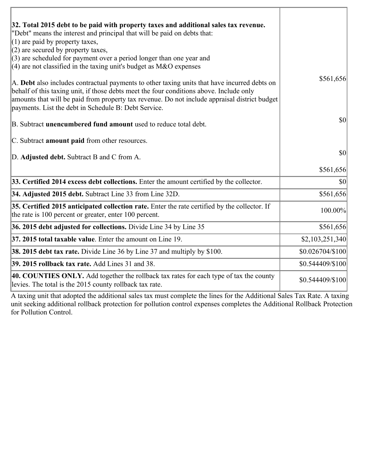| 32. Total 2015 debt to be paid with property taxes and additional sales tax revenue.<br>"Debt" means the interest and principal that will be paid on debts that:<br>$(1)$ are paid by property taxes,<br>$(2)$ are secured by property taxes,                                                                                                    |                  |
|--------------------------------------------------------------------------------------------------------------------------------------------------------------------------------------------------------------------------------------------------------------------------------------------------------------------------------------------------|------------------|
| $(3)$ are scheduled for payment over a period longer than one year and<br>(4) are not classified in the taxing unit's budget as $M&O$ expenses                                                                                                                                                                                                   |                  |
| A. Debt also includes contractual payments to other taxing units that have incurred debts on<br>behalf of this taxing unit, if those debts meet the four conditions above. Include only<br>amounts that will be paid from property tax revenue. Do not include appraisal district budget<br>payments. List the debt in Schedule B: Debt Service. | \$561,656        |
| B. Subtract unencumbered fund amount used to reduce total debt.                                                                                                                                                                                                                                                                                  | \$0              |
| C. Subtract <b>amount paid</b> from other resources.                                                                                                                                                                                                                                                                                             |                  |
| D. Adjusted debt. Subtract B and C from A.                                                                                                                                                                                                                                                                                                       | \$0              |
|                                                                                                                                                                                                                                                                                                                                                  | \$561,656        |
| 33. Certified 2014 excess debt collections. Enter the amount certified by the collector.                                                                                                                                                                                                                                                         | \$0              |
| 34. Adjusted 2015 debt. Subtract Line 33 from Line 32D.                                                                                                                                                                                                                                                                                          | \$561,656        |
| 35. Certified 2015 anticipated collection rate. Enter the rate certified by the collector. If<br>the rate is 100 percent or greater, enter 100 percent.                                                                                                                                                                                          | 100.00%          |
| 36. 2015 debt adjusted for collections. Divide Line 34 by Line 35                                                                                                                                                                                                                                                                                | \$561,656        |
| 37. 2015 total taxable value. Enter the amount on Line 19.                                                                                                                                                                                                                                                                                       | \$2,103,251,340  |
| <b>38. 2015 debt tax rate.</b> Divide Line 36 by Line 37 and multiply by \$100.                                                                                                                                                                                                                                                                  | \$0.026704/\$100 |
| 39. 2015 rollback tax rate. Add Lines 31 and 38.                                                                                                                                                                                                                                                                                                 | \$0.544409/\$100 |
| 40. COUNTIES ONLY. Add together the rollback tax rates for each type of tax the county<br>levies. The total is the 2015 county rollback tax rate.                                                                                                                                                                                                | \$0.544409/\$100 |

A taxing unit that adopted the additional sales tax must complete the lines for the Additional Sales Tax Rate. A taxing unit seeking additional rollback protection for pollution control expenses completes the Additional Rollback Protection for Pollution Control.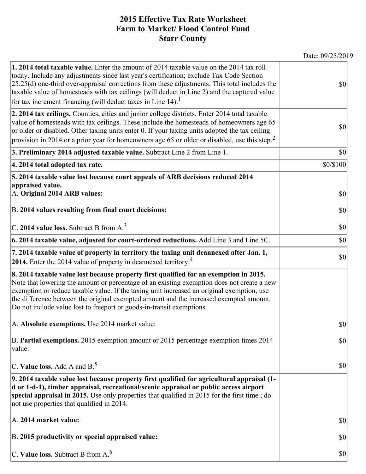## **2015 Effective Tax Rate Worksheet Farm to Market/ Flood Control Fund Starr County**

| <b>1. 2014 total taxable value.</b> Enter the amount of 2014 taxable value on the 2014 tax roll<br>today. Include any adjustments since last year's certification; exclude Tax Code Section<br>$[25.25(d)$ one-third over-appraisal corrections from these adjustments. This total includes the<br>taxable value of homesteads with tax ceilings (will deduct in Line 2) and the captured value<br>for tax increment financing (will deduct taxes in Line $14$ ). <sup>1</sup> | \$0       |
|--------------------------------------------------------------------------------------------------------------------------------------------------------------------------------------------------------------------------------------------------------------------------------------------------------------------------------------------------------------------------------------------------------------------------------------------------------------------------------|-----------|
| 2. 2014 tax ceilings. Counties, cities and junior college districts. Enter 2014 total taxable<br>value of homesteads with tax ceilings. These include the homesteads of homeowners age 65<br>or older or disabled. Other taxing units enter 0. If your taxing units adopted the tax ceiling<br>provision in 2014 or a prior year for homeowners age 65 or older or disabled, use this step. <sup>2</sup>                                                                       | \$0       |
| 3. Preliminary 2014 adjusted taxable value. Subtract Line 2 from Line 1.                                                                                                                                                                                                                                                                                                                                                                                                       | \$0       |
| 4. 2014 total adopted tax rate.                                                                                                                                                                                                                                                                                                                                                                                                                                                | \$0/\$100 |
| 5. 2014 taxable value lost because court appeals of ARB decisions reduced 2014<br>appraised value.<br>A. Original 2014 ARB values:                                                                                                                                                                                                                                                                                                                                             | \$0       |
| B. 2014 values resulting from final court decisions:                                                                                                                                                                                                                                                                                                                                                                                                                           | \$0       |
| C. 2014 value loss. Subtract B from $A3$                                                                                                                                                                                                                                                                                                                                                                                                                                       | \$0       |
| 6. 2014 taxable value, adjusted for court-ordered reductions. Add Line 3 and Line 5C.                                                                                                                                                                                                                                                                                                                                                                                          | \$0       |
| 7. 2014 taxable value of property in territory the taxing unit deannexed after Jan. 1,<br>2014. Enter the 2014 value of property in deannexed territory. <sup>4</sup>                                                                                                                                                                                                                                                                                                          | \$0       |
| 8. 2014 taxable value lost because property first qualified for an exemption in 2015.<br>Note that lowering the amount or percentage of an existing exemption does not create a new<br>exemption or reduce taxable value. If the taxing unit increased an original exemption, use<br>the difference between the original exempted amount and the increased exempted amount.<br>Do not include value lost to freeport or goods-in-transit exemptions.                           |           |
| A. Absolute exemptions. Use 2014 market value:                                                                                                                                                                                                                                                                                                                                                                                                                                 | \$0       |
| B. Partial exemptions. 2015 exemption amount or 2015 percentage exemption times 2014<br>$\vert$ value:                                                                                                                                                                                                                                                                                                                                                                         | \$0       |
| C. Value loss. Add A and $B^5$                                                                                                                                                                                                                                                                                                                                                                                                                                                 | \$0       |
| 9. 2014 taxable value lost because property first qualified for agricultural appraisal (1-<br>d or 1-d-1), timber appraisal, recreational/scenic appraisal or public access airport<br>special appraisal in 2015. Use only properties that qualified in 2015 for the first time; do<br>not use properties that qualified in 2014.                                                                                                                                              |           |
| A. 2014 market value:                                                                                                                                                                                                                                                                                                                                                                                                                                                          | \$0       |
| B. 2015 productivity or special appraised value:                                                                                                                                                                                                                                                                                                                                                                                                                               | \$0       |
| C. Value loss. Subtract B from $A6$                                                                                                                                                                                                                                                                                                                                                                                                                                            | \$0       |

Date: 09/25/2019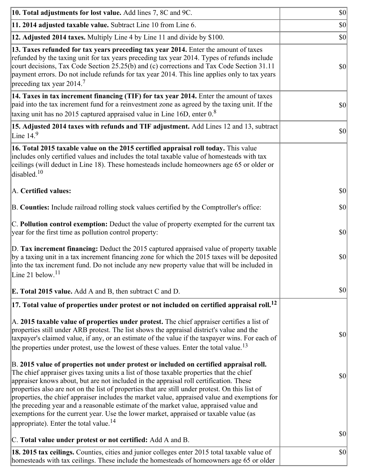| 10. Total adjustments for lost value. Add lines 7, 8C and 9C.                                                                                                                                                                                                                                                                                                                                                                                                                                                                                                                                                                                                                                                            | \$0          |
|--------------------------------------------------------------------------------------------------------------------------------------------------------------------------------------------------------------------------------------------------------------------------------------------------------------------------------------------------------------------------------------------------------------------------------------------------------------------------------------------------------------------------------------------------------------------------------------------------------------------------------------------------------------------------------------------------------------------------|--------------|
| 11. 2014 adjusted taxable value. Subtract Line 10 from Line 6.                                                                                                                                                                                                                                                                                                                                                                                                                                                                                                                                                                                                                                                           | \$0          |
| 12. Adjusted 2014 taxes. Multiply Line 4 by Line 11 and divide by \$100.                                                                                                                                                                                                                                                                                                                                                                                                                                                                                                                                                                                                                                                 | \$0          |
| 13. Taxes refunded for tax years preceding tax year 2014. Enter the amount of taxes<br>refunded by the taxing unit for tax years preceding tax year 2014. Types of refunds include<br>court decisions, Tax Code Section 25.25(b) and (c) corrections and Tax Code Section 31.11<br>payment errors. Do not include refunds for tax year 2014. This line applies only to tax years<br>preceding tax year 2014. <sup>7</sup>                                                                                                                                                                                                                                                                                                | \$0          |
| 14. Taxes in tax increment financing (TIF) for tax year 2014. Enter the amount of taxes<br>paid into the tax increment fund for a reinvestment zone as agreed by the taxing unit. If the<br>taxing unit has no 2015 captured appraised value in Line 16D, enter $0.8$                                                                                                                                                                                                                                                                                                                                                                                                                                                    | \$0          |
| 15. Adjusted 2014 taxes with refunds and TIF adjustment. Add Lines 12 and 13, subtract<br>Line $149$                                                                                                                                                                                                                                                                                                                                                                                                                                                                                                                                                                                                                     | \$0          |
| 16. Total 2015 taxable value on the 2015 certified appraisal roll today. This value<br>includes only certified values and includes the total taxable value of homesteads with tax<br>ceilings (will deduct in Line 18). These homesteads include homeowners age 65 or older or<br>disabled. <sup>10</sup>                                                                                                                                                                                                                                                                                                                                                                                                                |              |
| A. Certified values:                                                                                                                                                                                                                                                                                                                                                                                                                                                                                                                                                                                                                                                                                                     | \$0          |
| B. Counties: Include railroad rolling stock values certified by the Comptroller's office:                                                                                                                                                                                                                                                                                                                                                                                                                                                                                                                                                                                                                                | \$0          |
| C. Pollution control exemption: Deduct the value of property exempted for the current tax<br>year for the first time as pollution control property:                                                                                                                                                                                                                                                                                                                                                                                                                                                                                                                                                                      | \$0          |
| D. Tax increment financing: Deduct the 2015 captured appraised value of property taxable<br>by a taxing unit in a tax increment financing zone for which the 2015 taxes will be deposited<br>into the tax increment fund. Do not include any new property value that will be included in<br>Line 21 below. <sup>11</sup>                                                                                                                                                                                                                                                                                                                                                                                                 | \$0          |
| <b>E. Total 2015 value.</b> Add A and B, then subtract C and D.                                                                                                                                                                                                                                                                                                                                                                                                                                                                                                                                                                                                                                                          | $ 10\rangle$ |
| $ 17.$ Total value of properties under protest or not included on certified appraisal roll. $^{12}$                                                                                                                                                                                                                                                                                                                                                                                                                                                                                                                                                                                                                      |              |
| A. 2015 taxable value of properties under protest. The chief appraiser certifies a list of<br>properties still under ARB protest. The list shows the appraisal district's value and the<br>taxpayer's claimed value, if any, or an estimate of the value if the taxpayer wins. For each of<br>the properties under protest, use the lowest of these values. Enter the total value. <sup>13</sup>                                                                                                                                                                                                                                                                                                                         | \$0          |
| B. 2015 value of properties not under protest or included on certified appraisal roll.<br>The chief appraiser gives taxing units a list of those taxable properties that the chief<br>appraiser knows about, but are not included in the appraisal roll certification. These<br>properties also are not on the list of properties that are still under protest. On this list of<br>properties, the chief appraiser includes the market value, appraised value and exemptions for<br>the preceding year and a reasonable estimate of the market value, appraised value and<br>exemptions for the current year. Use the lower market, appraised or taxable value (as<br>appropriate). Enter the total value. <sup>14</sup> | \$0          |
| C. Total value under protest or not certified: Add A and B.                                                                                                                                                                                                                                                                                                                                                                                                                                                                                                                                                                                                                                                              | \$0          |
| 18. 2015 tax ceilings. Counties, cities and junior colleges enter 2015 total taxable value of<br>homesteads with tax ceilings. These include the homesteads of homeowners age 65 or older                                                                                                                                                                                                                                                                                                                                                                                                                                                                                                                                | \$0          |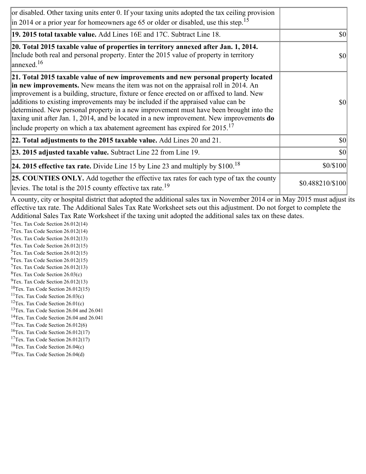| or disabled. Other taxing units enter 0. If your taxing units adopted the tax ceiling provision<br>$\vert$ in 2014 or a prior year for homeowners age 65 or older or disabled, use this step. <sup>15</sup>                                                                                                                                                                                                                                                                                                                                                                                                                                         |                  |
|-----------------------------------------------------------------------------------------------------------------------------------------------------------------------------------------------------------------------------------------------------------------------------------------------------------------------------------------------------------------------------------------------------------------------------------------------------------------------------------------------------------------------------------------------------------------------------------------------------------------------------------------------------|------------------|
| 19. 2015 total taxable value. Add Lines 16E and 17C. Subtract Line 18.                                                                                                                                                                                                                                                                                                                                                                                                                                                                                                                                                                              | <b>\$0</b>       |
| 20. Total 2015 taxable value of properties in territory annexed after Jan. 1, 2014.<br>Include both real and personal property. Enter the 2015 value of property in territory<br>$\frac{16}{2}$                                                                                                                                                                                                                                                                                                                                                                                                                                                     | \$0              |
| 21. Total 2015 taxable value of new improvements and new personal property located<br>in new improvements. New means the item was not on the appraisal roll in 2014. An<br>improvement is a building, structure, fixture or fence erected on or affixed to land. New<br>additions to existing improvements may be included if the appraised value can be<br>determined. New personal property in a new improvement must have been brought into the<br>taxing unit after Jan. 1, 2014, and be located in a new improvement. New improvements <b>do</b><br>include property on which a tax abatement agreement has expired for $2015$ . <sup>17</sup> | <b>\$0</b>       |
| 22. Total adjustments to the 2015 taxable value. Add Lines 20 and 21.                                                                                                                                                                                                                                                                                                                                                                                                                                                                                                                                                                               | <b>\$0</b>       |
| 23. 2015 adjusted taxable value. Subtract Line 22 from Line 19.                                                                                                                                                                                                                                                                                                                                                                                                                                                                                                                                                                                     | $ 10\rangle$     |
| <b>24. 2015 effective tax rate.</b> Divide Line 15 by Line 23 and multiply by $$100$ . <sup>18</sup>                                                                                                                                                                                                                                                                                                                                                                                                                                                                                                                                                | \$0/\$100        |
| <b>25. COUNTIES ONLY.</b> Add together the effective tax rates for each type of tax the county<br>levies. The total is the 2015 county effective tax rate. <sup>19</sup>                                                                                                                                                                                                                                                                                                                                                                                                                                                                            | \$0.488210/\$100 |

A county, city or hospital district that adopted the additional sales tax in November 2014 or in May 2015 must adjust its effective tax rate. The Additional Sales Tax Rate Worksheet sets out this adjustment. Do not forget to complete the Additional Sales Tax Rate Worksheet if the taxing unit adopted the additional sales tax on these dates.

<sup>1</sup>Tex. Tax Code Section  $26.012(14)$ <sup>2</sup>Tex. Tax Code Section  $26.012(14)$  $3$ Tex. Tax Code Section 26.012(13)  ${}^{4}$ Tex. Tax Code Section 26.012(15)  $5$ Tex. Tax Code Section 26.012(15) <sup>6</sup>Tex. Tax Code Section 26.012(15)  $7$ Tex. Tax Code Section 26.012(13)  ${}^{8}$ Tex. Tax Code Section 26.03(c)  $^{9}$ Tex. Tax Code Section 26.012(13)

- $10$ Tex. Tax Code Section 26.012(15)
- <sup>11</sup>Tex. Tax Code Section  $26.03(c)$
- <sup>12</sup>Tex. Tax Code Section  $26.01(c)$
- <sup>13</sup>Tex. Tax Code Section 26.04 and 26.041
- <sup>14</sup>Tex. Tax Code Section 26.04 and 26.041
- $15$ Tex. Tax Code Section 26.012(6)
- <sup>16</sup>Tex. Tax Code Section  $26.012(17)$
- <sup>17</sup>Tex. Tax Code Section  $26.012(17)$
- ${}^{18}$ Tex. Tax Code Section 26.04(c)
- <sup>19</sup>Tex. Tax Code Section 26.04(d)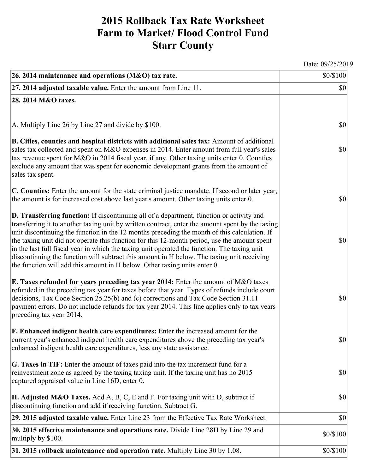## **2015 Rollback Tax Rate Worksheet Farm to Market/ Flood Control Fund Starr County**

Date: 09/25/2019

| 26. 2014 maintenance and operations (M&O) tax rate.                                                                                                                                                                                                                                                                                                                                                                                                                                                                                                                                                                                                                     | \$0/\$100                           |
|-------------------------------------------------------------------------------------------------------------------------------------------------------------------------------------------------------------------------------------------------------------------------------------------------------------------------------------------------------------------------------------------------------------------------------------------------------------------------------------------------------------------------------------------------------------------------------------------------------------------------------------------------------------------------|-------------------------------------|
| $ 27.2014$ adjusted taxable value. Enter the amount from Line 11.                                                                                                                                                                                                                                                                                                                                                                                                                                                                                                                                                                                                       | $\vert \mathbf{S} \mathbf{O} \vert$ |
| 28. 2014 M&O taxes.                                                                                                                                                                                                                                                                                                                                                                                                                                                                                                                                                                                                                                                     |                                     |
|                                                                                                                                                                                                                                                                                                                                                                                                                                                                                                                                                                                                                                                                         |                                     |
| $ A$ . Multiply Line 26 by Line 27 and divide by \$100.                                                                                                                                                                                                                                                                                                                                                                                                                                                                                                                                                                                                                 | $ 10\rangle$                        |
| B. Cities, counties and hospital districts with additional sales tax: Amount of additional<br>sales tax collected and spent on M&O expenses in 2014. Enter amount from full year's sales<br>tax revenue spent for M&O in 2014 fiscal year, if any. Other taxing units enter 0. Counties<br>exclude any amount that was spent for economic development grants from the amount of<br>sales tax spent.                                                                                                                                                                                                                                                                     | $ 10\rangle$                        |
| C. Counties: Enter the amount for the state criminal justice mandate. If second or later year,<br>the amount is for increased cost above last year's amount. Other taxing units enter 0.                                                                                                                                                                                                                                                                                                                                                                                                                                                                                | $ 10\rangle$                        |
| D. Transferring function: If discontinuing all of a department, function or activity and<br>transferring it to another taxing unit by written contract, enter the amount spent by the taxing<br>unit discontinuing the function in the 12 months preceding the month of this calculation. If<br>the taxing unit did not operate this function for this 12-month period, use the amount spent<br>in the last full fiscal year in which the taxing unit operated the function. The taxing unit<br>discontinuing the function will subtract this amount in H below. The taxing unit receiving<br>the function will add this amount in H below. Other taxing units enter 0. | $ 10\rangle$                        |
| E. Taxes refunded for years preceding tax year 2014: Enter the amount of M&O taxes<br>refunded in the preceding tax year for taxes before that year. Types of refunds include court<br>decisions, Tax Code Section 25.25(b) and (c) corrections and Tax Code Section 31.11<br>payment errors. Do not include refunds for tax year 2014. This line applies only to tax years<br>preceding tax year 2014.                                                                                                                                                                                                                                                                 | $ 10\rangle$                        |
| <b>F. Enhanced indigent health care expenditures:</b> Enter the increased amount for the<br>current year's enhanced indigent health care expenditures above the preceding tax year's<br>enhanced indigent health care expenditures, less any state assistance.                                                                                                                                                                                                                                                                                                                                                                                                          | $\vert \mathbf{S} \mathbf{0} \vert$ |
| <b>G. Taxes in TIF:</b> Enter the amount of taxes paid into the tax increment fund for a<br>reinvestment zone as agreed by the taxing taxing unit. If the taxing unit has no 2015<br>captured appraised value in Line 16D, enter 0.                                                                                                                                                                                                                                                                                                                                                                                                                                     | $ 10\rangle$                        |
| <b>H. Adjusted M&amp;O Taxes.</b> Add A, B, C, E and F. For taxing unit with D, subtract if<br>discontinuing function and add if receiving function. Subtract G.                                                                                                                                                                                                                                                                                                                                                                                                                                                                                                        | $ 10\rangle$                        |
| 29. 2015 adjusted taxable value. Enter Line 23 from the Effective Tax Rate Worksheet.                                                                                                                                                                                                                                                                                                                                                                                                                                                                                                                                                                                   | $ 10\rangle$                        |
| 30. 2015 effective maintenance and operations rate. Divide Line 28H by Line 29 and<br>multiply by \$100.                                                                                                                                                                                                                                                                                                                                                                                                                                                                                                                                                                | \$0/\$100                           |
| $31.2015$ rollback maintenance and operation rate. Multiply Line 30 by 1.08.                                                                                                                                                                                                                                                                                                                                                                                                                                                                                                                                                                                            | \$0/\$100                           |